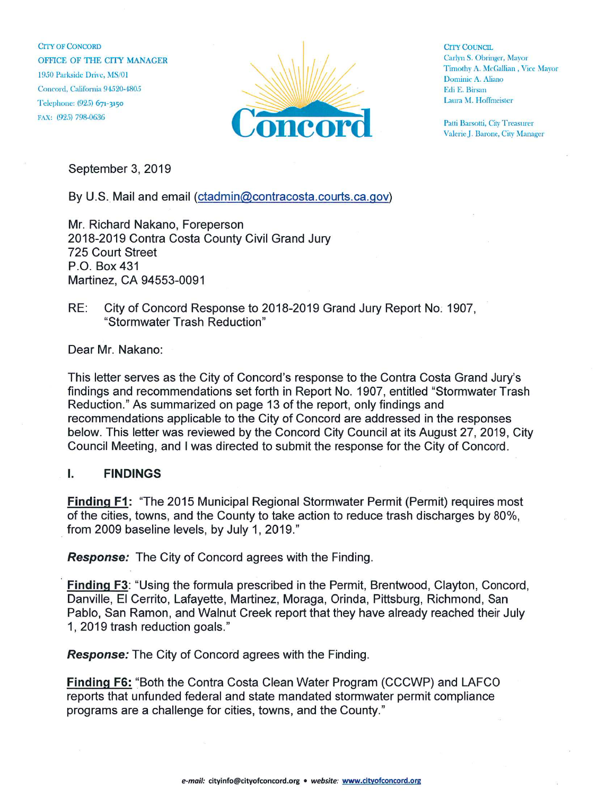CITY OF CONCORD OFFICE OF THE CITY MANAGER 1950 Parkside Drive, MS/01 Concord, California 94520-4805 Telephone: (925) 671-3150 FAX: (925) 798-0636



**CITY COUNCIL** Carlyn S. Obringer, Mayor Timothy A. McGallian, Vice Mayor Dominic A. Aliano Edi E. Birsan Laura M. Hoffmeister

Patti Barsotti, City Treasurer Valerie J. Barone, City Manager

September 3, 2019

By U.S. Mail and email (ctadmin@contracosta.courts.ca.gov)

Mr. Richard Nakano, Foreperson 2018-2019 Contra Costa County Civil Grand Jury 725 Court Street P.0. Box 431 Martinez, CA 94553-0091

RE: City of Concord Response to 2018-2019 Grand Jury Report No. 1907, "Stormwater Trash Reduction"

Dear Mr. Nakano:

This letter serves as the City of Concord's response to the Contra Costa Grand Jury's findings and recommendations set forth in Report No. 1907, entitled "Stormwater Trash Reduction." As summarized on page 13 of the report, only findings and recommendations applicable to the City of Concord are addressed in the responses below. This letter was reviewed by the Concord City Council at its August 27, 2019, City Council Meeting, and I was directed to submit the response for the City of Concord.

## i. FINDINGS

Finding F1: "The 2015 Municipal Regional Stormwater Permit (Permit) requires most of the cities, towns, and the County to take action to reduce trash discharges by 80%, from 2009 baseline levels, by July 1, 2019."

Response: The City of Concord agrees with the Finding.

Finding F3: "Using the formula prescribed in the Permit, Brentwood, Clayton, Concord, Danville, EI Cerrito, Lafayette, Martinez, Moraga, Orinda, Pittsburg, Richmond, San Pablo, San Ramon, and Walnut Creek report that they have already reached their July 1 , 2019 trash reduction goals."

Response: The City of Concord agrees with the Finding.

Finding F6: "Both the Contra Costa Clean Water Program (CCCWP) and LAFCO reports that unfunded federal and state mandated stormwater permit compliance programs are a challenge for cities, towns, and the County."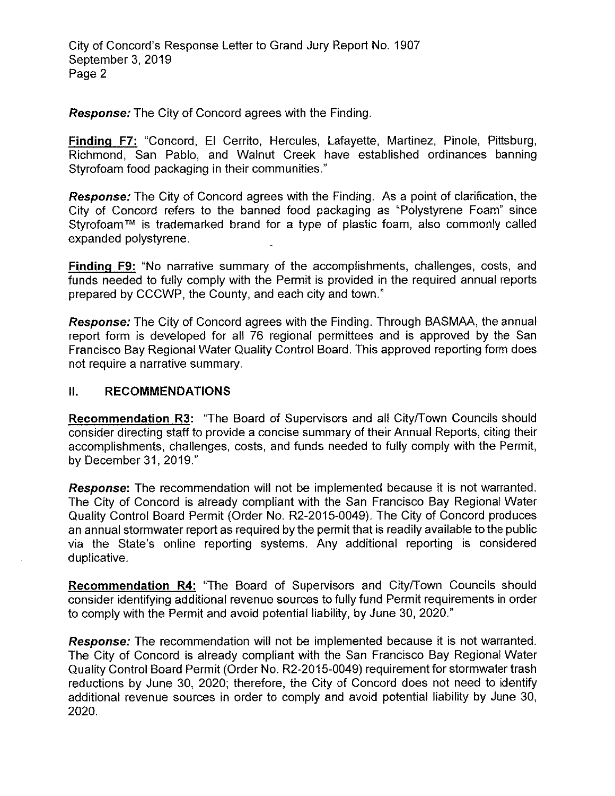City of Concord's Response Letter to Grand Jury Report No. 1907 September 3, 2019 Page 2

Response: The City of Concord agrees with the Finding.

Finding F7: "Concord, EI Cerrito, Hercules, Lafayette, Martinez, Pinole, Pittsburg, Richmond, San Pablo, and Walnut Creek have established ordinances banning Styrofoam food packaging in their communities."

Response: The City of Concord agrees with the Finding. As a point of clarification, the City of Concord refers to the banned food packaging as "Polystyrene Foam" since Styrofoam™ is trademarked brand for a type of plastic foam, also commonly called expanded polystyrene.

Finding F9: "No narrative summary of the accomplishments, challenges, costs, and funds needed to fully comply with the Permit is provided in the required annual reports prepared by CCCWP, the County, and each city and town."

Response: The City of Concord agrees with the Finding. Through BASMAA, the annual report form is developed for all 76 regional permittees and is approved by the San Francisco Bay Regional Water Quality Control Board. This approved reporting form does not require a narrative summary.

## 11. RECOMMENDATIONS

Recommendation R3: "The Board of Supervisors and all City/Town Councils should consider directing staff to provide a concise summary of their Annual Reports, citing their accomplishments, challenges, costs, and funds needed to fully comply with the Permit, by December 31, 2019."

**Response:** The recommendation will not be implemented because it is not warranted. The City of Concord is already compliant with the San Francisco Bay Regional Water Quality Control Board Permit (Order No. R2-2015-0049). The City of Concord produces an annual stormwater report as required by the permit that is readily available to the public via the State's online reporting systems. Any additional reporting is considered duplicative.

Recommendation R4: "The Board of Supervisors and City/Town Councils should consider identifying additional revenue sources to fully fund Permit requirements in order to comply with the Permit and avoid potential liability, by June 30, 2020."

Response: The recommendation will not be implemented because it is not warranted. The City of Concord is already compliant with the San Francisco Bay Regional Water Quality Control Board Permit (Order No. R2-2015-0049) requirement for stormwater trash reductions by June 30, 2020; therefore, the City of Concord does not need to identify additional revenue sources in order to comply and avoid potential liability by June 30, 2020.